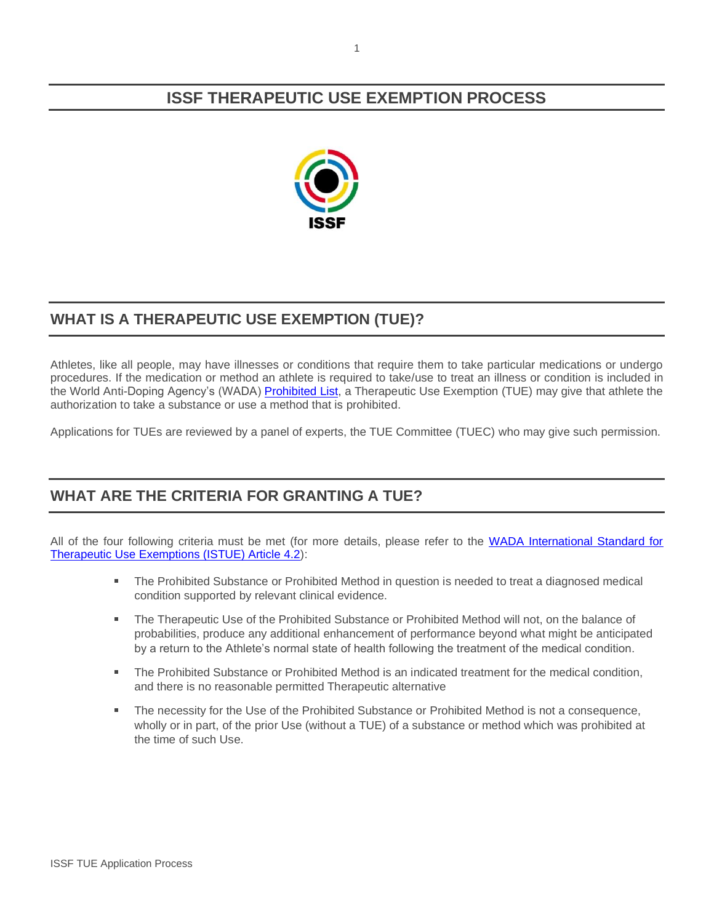# **ISSF THERAPEUTIC USE EXEMPTION PROCESS**



# **WHAT IS A THERAPEUTIC USE EXEMPTION (TUE)?**

Athletes, like all people, may have illnesses or conditions that require them to take particular medications or undergo procedures. If the medication or method an athlete is required to take/use to treat an illness or condition is included in the World Anti-Doping Agency's (WADA[\) Prohibited List,](https://www.wada-ama.org/sites/default/files/resources/files/2021list_en.pdf) a Therapeutic Use Exemption (TUE) may give that athlete the authorization to take a substance or use a method that is prohibited.

Applications for TUEs are reviewed by a panel of experts, the TUE Committee (TUEC) who may give such permission.

# **WHAT ARE THE CRITERIA FOR GRANTING A TUE?**

All of the four following criteria must be met (for more details, please refer to the [WADA International Standard for](https://www.wada-ama.org/sites/default/files/resources/files/international_standard_istue_-_2020.pdf)  [Therapeutic Use Exemptions \(ISTUE\) Article 4.2\)](https://www.wada-ama.org/sites/default/files/resources/files/international_standard_istue_-_2020.pdf):

- The Prohibited Substance or Prohibited Method in question is needed to treat a diagnosed medical condition supported by relevant clinical evidence.
- The Therapeutic Use of the Prohibited Substance or Prohibited Method will not, on the balance of probabilities, produce any additional enhancement of performance beyond what might be anticipated by a return to the Athlete's normal state of health following the treatment of the medical condition.
- a. The Prohibited Substance or Prohibited Method is an indicated treatment for the medical condition, and there is no reasonable permitted Therapeutic alternative
- The necessity for the Use of the Prohibited Substance or Prohibited Method is not a consequence, wholly or in part, of the prior Use (without a TUE) of a substance or method which was prohibited at the time of such Use.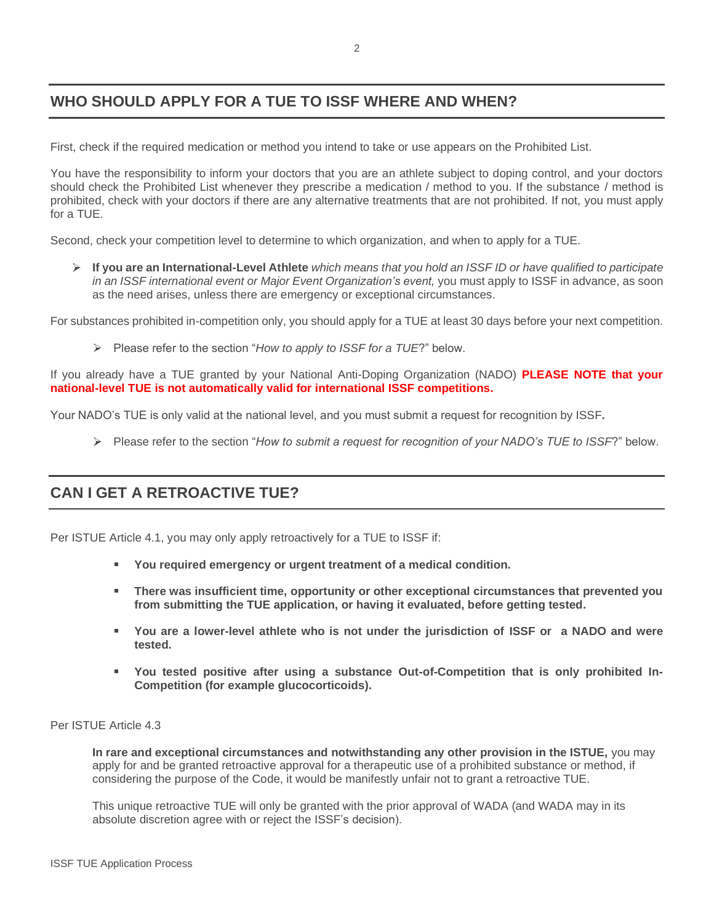# **WHO SHOULD APPLY FOR A TUE TO ISSF WHERE AND WHEN?**

First, check if the required medication or method you intend to take or use appears on the Prohibited List.

You have the responsibility to inform your doctors that you are an athlete subject to doping control, and your doctors should check the Prohibited List whenever they prescribe a medication / method to you. If the substance / method is prohibited, check with your doctors if there are any alternative treatments that are not prohibited. If not, you must apply for a TUE.

Second, check your competition level to determine to which organization, and when to apply for a TUE.

 $\blacktriangleright$ **If you are an International-Level Athlete** *which means that you hold an ISSF ID or have qualified to participate*  in an ISSF international event or Major Event Organization's event, you must apply to ISSF in advance, as soon as the need arises, unless there are emergency or exceptional circumstances.

For substances prohibited in-competition only, you should apply for a TUE at least 30 days before your next competition.

Please refer to the section "*How to apply to ISSF for a TUE*?" below.

If you already have a TUE granted by your National Anti-Doping Organization (NADO) **PLEASE NOTE that your national-level TUE is not automatically valid for international ISSF competitions.**

Your NADO's TUE is only valid at the national level, and you must submit a request for recognition by ISSF**.** 

Please refer to the section "*How to submit a request for recognition of your NADO's TUE to ISSF*?" below.

#### **CAN I GET A RETROACTIVE TUE?**

Per ISTUE Article 4.1, you may only apply retroactively for a TUE to ISSF if:

- **You required emergency or urgent treatment of a medical condition.**
- **There was insufficient time, opportunity or other exceptional circumstances that prevented you from submitting the TUE application, or having it evaluated, before getting tested.**
- **You are a lower-level athlete who is not under the jurisdiction of ISSF or a NADO and were tested.**
- **You tested positive after using a substance Out-of-Competition that is only prohibited In-Competition (for example glucocorticoids).**

#### Per ISTUE Article 4.3

**In rare and exceptional circumstances and notwithstanding any other provision in the ISTUE,** you may apply for and be granted retroactive approval for a therapeutic use of a prohibited substance or method, if considering the purpose of the Code, it would be manifestly unfair not to grant a retroactive TUE.

This unique retroactive TUE will only be granted with the prior approval of WADA (and WADA may in its absolute discretion agree with or reject the ISSF's decision).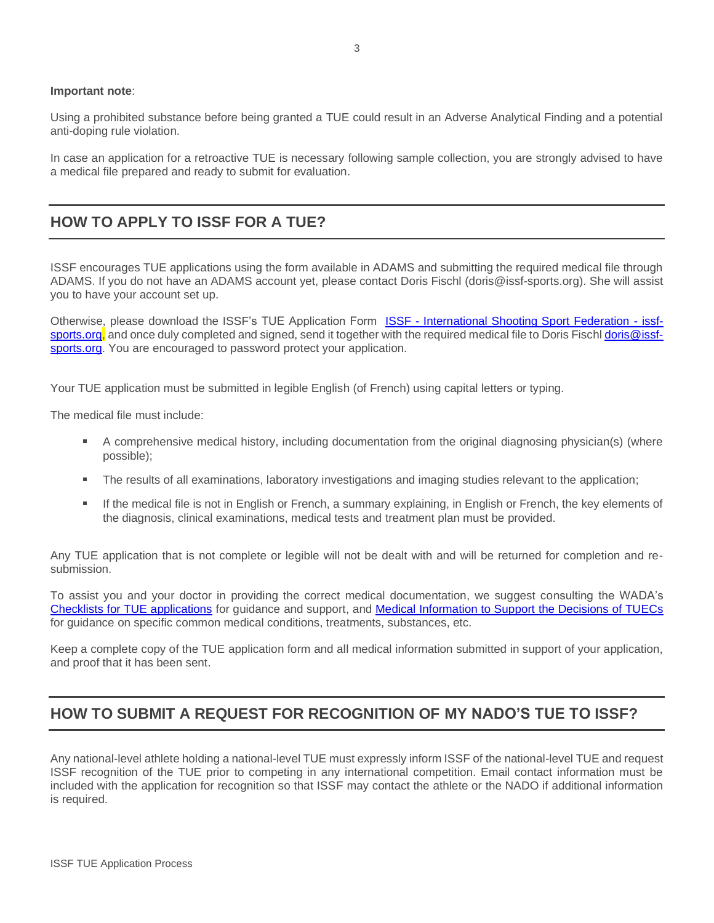#### **Important note**:

Using a prohibited substance before being granted a TUE could result in an Adverse Analytical Finding and a potential anti-doping rule violation.

In case an application for a retroactive TUE is necessary following sample collection, you are strongly advised to have a medical file prepared and ready to submit for evaluation.

#### **HOW TO APPLY TO ISSF FOR A TUE?**

ISSF encourages TUE applications using the form available in ADAMS and submitting the required medical file through ADAMS. If you do not have an ADAMS account yet, please contact Doris Fischl (doris@issf-sports.org). She will assist you to have your account set up.

Otherwise, please download the ISSF's TUE Application Form **ISSF - [International Shooting Sport Federation -](https://www.issf-sports.org/theissf/antidoping/therapeutic_use_exemption.ashx) issf**[sports.org,](https://www.issf-sports.org/theissf/antidoping/therapeutic_use_exemption.ashx) and once duly completed and signed, send it together with the required medical file to Doris Fisch[l doris@issf](mailto:doris@issf-sports.org)[sports.org.](mailto:doris@issf-sports.org) You are encouraged to password protect your application.

Your TUE application must be submitted in legible English (of French) using capital letters or typing.

The medical file must include:

- A comprehensive medical history, including documentation from the original diagnosing physician(s) (where possible);
- The results of all examinations, laboratory investigations and imaging studies relevant to the application;
- If the medical file is not in English or French, a summary explaining, in English or French, the key elements of the diagnosis, clinical examinations, medical tests and treatment plan must be provided.

Any TUE application that is not complete or legible will not be dealt with and will be returned for completion and resubmission.

To assist you and your doctor in providing the correct medical documentation, we suggest consulting the WADA's [Checklists for TUE applications](https://www.wada-ama.org/en/resources/search?f%5B0%5D=field_resource_collections%3A225&f%5B1%5D=field_resource_versions%253Afield_resource_version_language%3A91) for guidance and support, and [Medical Information to Support the Decisions of TUECs](https://www.wada-ama.org/en/resources/search?f%5B0%5D=field_resource_collections%3A158) for guidance on specific common medical conditions, treatments, substances, etc.

Keep a complete copy of the TUE application form and all medical information submitted in support of your application, and proof that it has been sent.

# **HOW TO SUBMIT A REQUEST FOR RECOGNITION OF MY NADO'S TUE TO ISSF?**

Any national-level athlete holding a national-level TUE must expressly inform ISSF of the national-level TUE and request ISSF recognition of the TUE prior to competing in any international competition. Email contact information must be included with the application for recognition so that ISSF may contact the athlete or the NADO if additional information is required.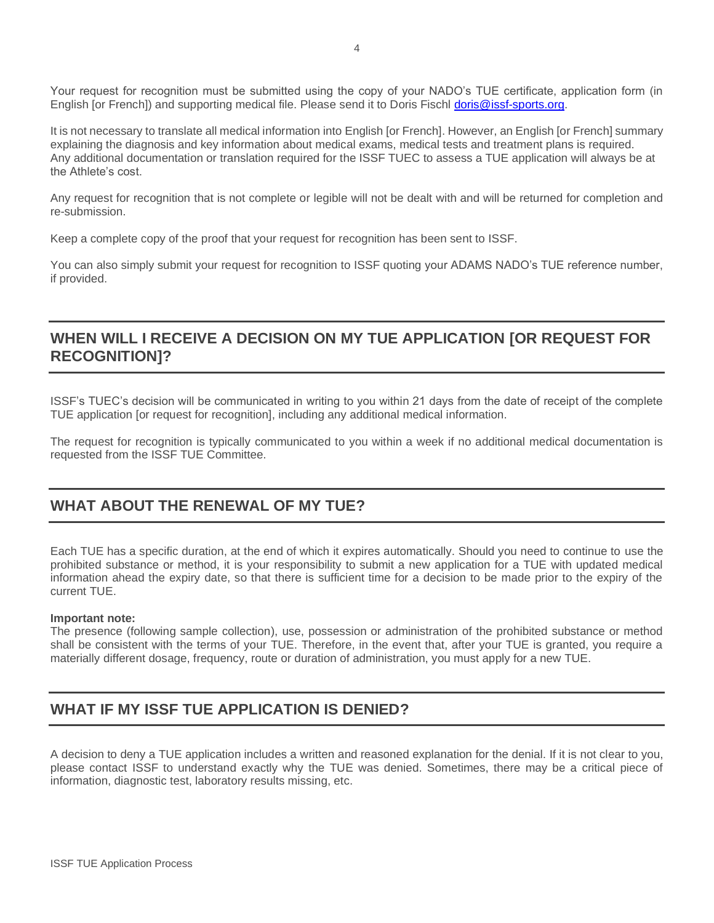Your request for recognition must be submitted using the copy of your NADO's TUE certificate, application form (in English [or French]) and supporting medical file. Please send it to Doris Fischl [doris@issf-sports.org.](mailto:doris@issf-sports.org)

It is not necessary to translate all medical information into English [or French]. However, an English [or French] summary explaining the diagnosis and key information about medical exams, medical tests and treatment plans is required. Any additional documentation or translation required for the ISSF TUEC to assess a TUE application will always be at the Athlete's cost.

Any request for recognition that is not complete or legible will not be dealt with and will be returned for completion and re-submission.

Keep a complete copy of the proof that your request for recognition has been sent to ISSF.

You can also simply submit your request for recognition to ISSF quoting your ADAMS NADO's TUE reference number, if provided.

### **WHEN WILL I RECEIVE A DECISION ON MY TUE APPLICATION [OR REQUEST FOR RECOGNITION]?**

ISSF's TUEC's decision will be communicated in writing to you within 21 days from the date of receipt of the complete TUE application [or request for recognition], including any additional medical information.

The request for recognition is typically communicated to you within a week if no additional medical documentation is requested from the ISSF TUE Committee.

# **WHAT ABOUT THE RENEWAL OF MY TUE?**

Each TUE has a specific duration, at the end of which it expires automatically. Should you need to continue to use the prohibited substance or method, it is your responsibility to submit a new application for a TUE with updated medical information ahead the expiry date, so that there is sufficient time for a decision to be made prior to the expiry of the current TUE.

#### **Important note:**

The presence (following sample collection), use, possession or administration of the prohibited substance or method shall be consistent with the terms of your TUE. Therefore, in the event that, after your TUE is granted, you require a materially different dosage, frequency, route or duration of administration, you must apply for a new TUE.

# **WHAT IF MY ISSF TUE APPLICATION IS DENIED?**

A decision to deny a TUE application includes a written and reasoned explanation for the denial. If it is not clear to you, please contact ISSF to understand exactly why the TUE was denied. Sometimes, there may be a critical piece of information, diagnostic test, laboratory results missing, etc.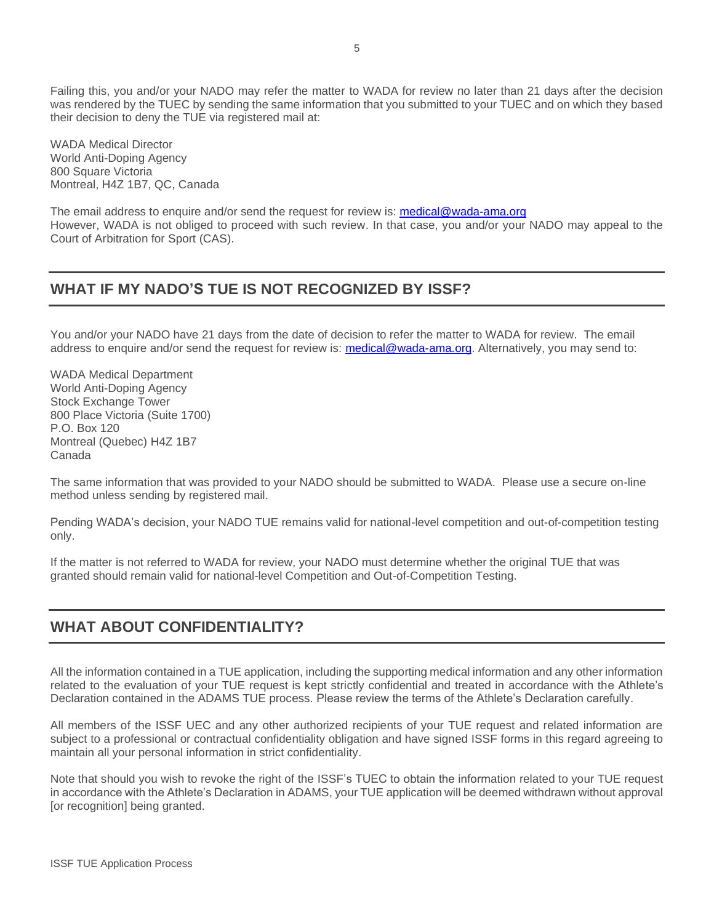Failing this, you and/or your NADO may refer the matter to WADA for review no later than 21 days after the decision was rendered by the TUEC by sending the same information that you submitted to your TUEC and on which they based their decision to deny the TUE via registered mail at:

WADA Medical Director World Anti-Doping Agency 800 Square Victoria Montreal, H4Z 1B7, QC, Canada

The email address to enquire and/or send the request for review is: [medical@wada-ama.org](mailto:medical@wada-ama.org) However, WADA is not obliged to proceed with such review. In that case, you and/or your NADO may appeal to the Court of Arbitration for Sport (CAS).

#### **WHAT IF MY NADO'S TUE IS NOT RECOGNIZED BY ISSF?**

You and/or your NADO have 21 days from the date of decision to refer the matter to WADA for review. The email address to enquire and/or send the request for review is: [medical@wada-ama.org.](mailto:medical@wada-ama.org) Alternatively, you may send to:

WADA Medical Department World Anti-Doping Agency Stock Exchange Tower 800 Place Victoria (Suite 1700) P.O. Box 120 Montreal (Quebec) H4Z 1B7 Canada

The same information that was provided to your NADO should be submitted to WADA. Please use a secure on-line method unless sending by registered mail.

Pending WADA's decision, your NADO TUE remains valid for national-level competition and out-of-competition testing only.

If the matter is not referred to WADA for review, your NADO must determine whether the original TUE that was granted should remain valid for national-level Competition and Out-of-Competition Testing.

# **WHAT ABOUT CONFIDENTIALITY?**

All the information contained in a TUE application, including the supporting medical information and any other information related to the evaluation of your TUE request is kept strictly confidential and treated in accordance with the Athlete's Declaration contained in the ADAMS TUE process. Please review the terms of the Athlete's Declaration carefully.

All members of the ISSF UEC and any other authorized recipients of your TUE request and related information are subject to a professional or contractual confidentiality obligation and have signed ISSF forms in this regard agreeing to maintain all your personal information in strict confidentiality.

Note that should you wish to revoke the right of the ISSF's TUEC to obtain the information related to your TUE request in accordance with the Athlete's Declaration in ADAMS, your TUE application will be deemed withdrawn without approval [or recognition] being granted.